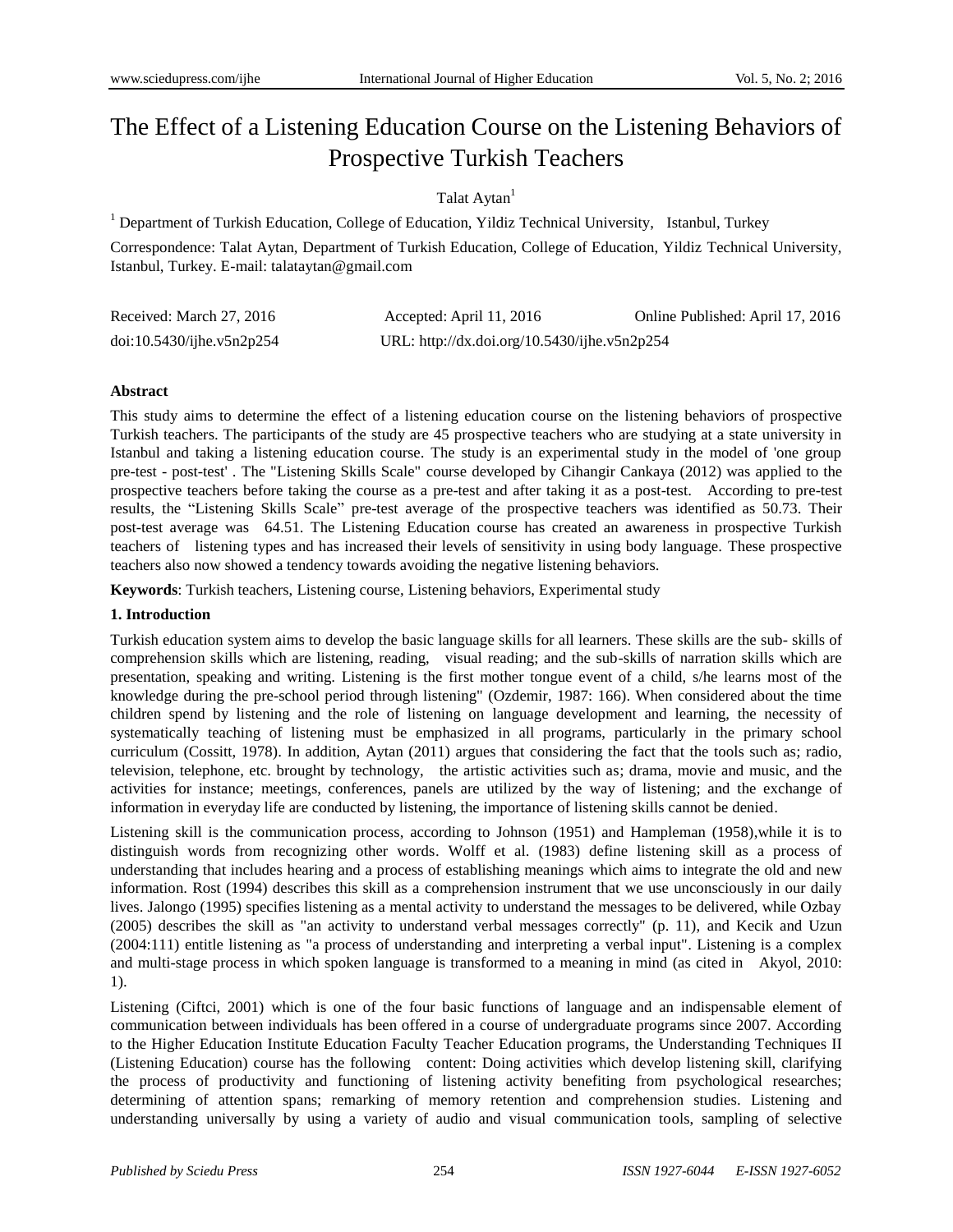# The Effect of a Listening Education Course on the Listening Behaviors of Prospective Turkish Teachers

# Talat Aytan<sup>1</sup>

<sup>1</sup> Department of Turkish Education, College of Education, Yildiz Technical University, Istanbul, Turkey

Correspondence: Talat Aytan, Department of Turkish Education, College of Education, Yildiz Technical University, Istanbul, Turkey. E-mail: talataytan@gmail.com

| Received: March 27, 2016  | Accepted: April 11, 2016                     | Online Published: April 17, 2016 |
|---------------------------|----------------------------------------------|----------------------------------|
| doi:10.5430/ijhe.v5n2p254 | URL: http://dx.doi.org/10.5430/ijhe.v5n2p254 |                                  |

#### **Abstract**

This study aims to determine the effect of a listening education course on the listening behaviors of prospective Turkish teachers. The participants of the study are 45 prospective teachers who are studying at a state university in Istanbul and taking a listening education course. The study is an experimental study in the model of 'one group pre-test - post-test' . The "Listening Skills Scale" course developed by Cihangir Cankaya (2012) was applied to the prospective teachers before taking the course as a pre-test and after taking it as a post-test. According to pre-test results, the "Listening Skills Scale" pre-test average of the prospective teachers was identified as 50.73. Their post-test average was 64.51. The Listening Education course has created an awareness in prospective Turkish teachers of listening types and has increased their levels of sensitivity in using body language. These prospective teachers also now showed a tendency towards avoiding the negative listening behaviors.

**Keywords**: Turkish teachers, Listening course, Listening behaviors, Experimental study

# **1. Introduction**

Turkish education system aims to develop the basic language skills for all learners. These skills are the sub- skills of comprehension skills which are listening, reading, visual reading; and the sub-skills of narration skills which are presentation, speaking and writing. Listening is the first mother tongue event of a child, s/he learns most of the knowledge during the pre-school period through listening" (Ozdemir, 1987: 166). When considered about the time children spend by listening and the role of listening on language development and learning, the necessity of systematically teaching of listening must be emphasized in all programs, particularly in the primary school curriculum (Cossitt, 1978). In addition, Aytan (2011) argues that considering the fact that the tools such as; radio, television, telephone, etc. brought by technology, the artistic activities such as; drama, movie and music, and the activities for instance; meetings, conferences, panels are utilized by the way of listening; and the exchange of information in everyday life are conducted by listening, the importance of listening skills cannot be denied.

Listening skill is the communication process, according to Johnson (1951) and Hampleman (1958),while it is to distinguish words from recognizing other words. Wolff et al. (1983) define listening skill as a process of understanding that includes hearing and a process of establishing meanings which aims to integrate the old and new information. Rost (1994) describes this skill as a comprehension instrument that we use unconsciously in our daily lives. Jalongo (1995) specifies listening as a mental activity to understand the messages to be delivered, while Ozbay (2005) describes the skill as "an activity to understand verbal messages correctly" (p. 11), and Kecik and Uzun (2004:111) entitle listening as "a process of understanding and interpreting a verbal input". Listening is a complex and multi-stage process in which spoken language is transformed to a meaning in mind (as cited in Akyol, 2010: 1).

Listening (Ciftci, 2001) which is one of the four basic functions of language and an indispensable element of communication between individuals has been offered in a course of undergraduate programs since 2007. According to the Higher Education Institute Education Faculty Teacher Education programs, the Understanding Techniques II (Listening Education) course has the following content: Doing activities which develop listening skill, clarifying the process of productivity and functioning of listening activity benefiting from psychological researches; determining of attention spans; remarking of memory retention and comprehension studies. Listening and understanding universally by using a variety of audio and visual communication tools, sampling of selective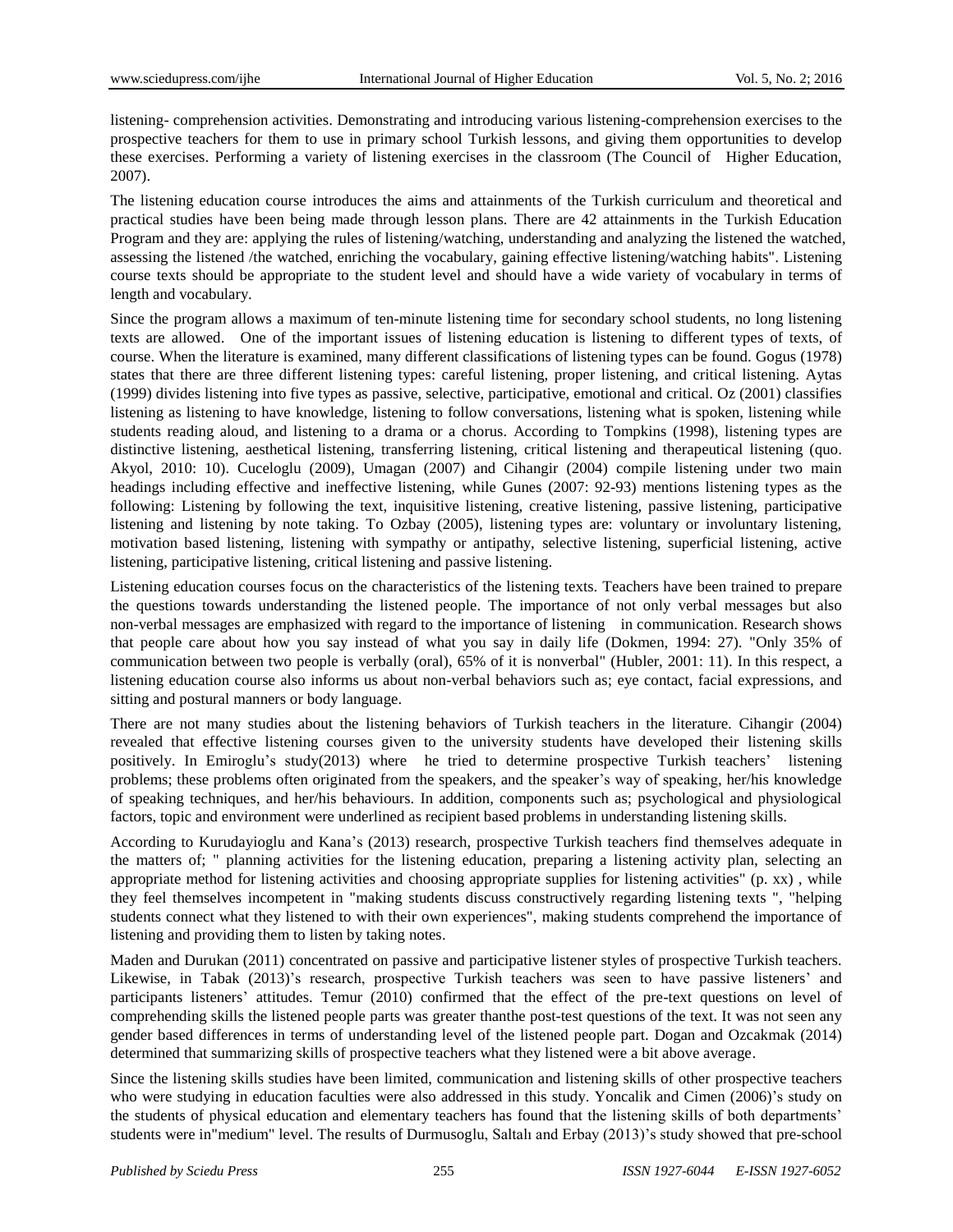listening- comprehension activities. Demonstrating and introducing various listening-comprehension exercises to the prospective teachers for them to use in primary school Turkish lessons, and giving them opportunities to develop these exercises. Performing a variety of listening exercises in the classroom (The Council of Higher Education, 2007).

The listening education course introduces the aims and attainments of the Turkish curriculum and theoretical and practical studies have been being made through lesson plans. There are 42 attainments in the Turkish Education Program and they are: applying the rules of listening/watching, understanding and analyzing the listened the watched, assessing the listened /the watched, enriching the vocabulary, gaining effective listening/watching habits". Listening course texts should be appropriate to the student level and should have a wide variety of vocabulary in terms of length and vocabulary.

Since the program allows a maximum of ten-minute listening time for secondary school students, no long listening texts are allowed. One of the important issues of listening education is listening to different types of texts, of course. When the literature is examined, many different classifications of listening types can be found. Gogus (1978) states that there are three different listening types: careful listening, proper listening, and critical listening. Aytas (1999) divides listening into five types as passive, selective, participative, emotional and critical. Oz (2001) classifies listening as listening to have knowledge, listening to follow conversations, listening what is spoken, listening while students reading aloud, and listening to a drama or a chorus. According to Tompkins (1998), listening types are distinctive listening, aesthetical listening, transferring listening, critical listening and therapeutical listening (quo. Akyol, 2010: 10). Cuceloglu (2009), Umagan (2007) and Cihangir (2004) compile listening under two main headings including effective and ineffective listening, while Gunes (2007: 92-93) mentions listening types as the following: Listening by following the text, inquisitive listening, creative listening, passive listening, participative listening and listening by note taking. To Ozbay (2005), listening types are: voluntary or involuntary listening, motivation based listening, listening with sympathy or antipathy, selective listening, superficial listening, active listening, participative listening, critical listening and passive listening.

Listening education courses focus on the characteristics of the listening texts. Teachers have been trained to prepare the questions towards understanding the listened people. The importance of not only verbal messages but also non-verbal messages are emphasized with regard to the importance of listening in communication. Research shows that people care about how you say instead of what you say in daily life (Dokmen, 1994: 27). "Only 35% of communication between two people is verbally (oral), 65% of it is nonverbal" (Hubler, 2001: 11). In this respect, a listening education course also informs us about non-verbal behaviors such as; eye contact, facial expressions, and sitting and postural manners or body language.

There are not many studies about the listening behaviors of Turkish teachers in the literature. Cihangir (2004) revealed that effective listening courses given to the university students have developed their listening skills positively. In Emiroglu's study(2013) where he tried to determine prospective Turkish teachers' listening problems; these problems often originated from the speakers, and the speaker's way of speaking, her/his knowledge of speaking techniques, and her/his behaviours. In addition, components such as; psychological and physiological factors, topic and environment were underlined as recipient based problems in understanding listening skills.

According to Kurudayioglu and Kana's (2013) research, prospective Turkish teachers find themselves adequate in the matters of; " planning activities for the listening education, preparing a listening activity plan, selecting an appropriate method for listening activities and choosing appropriate supplies for listening activities" (p. xx) , while they feel themselves incompetent in "making students discuss constructively regarding listening texts ", "helping students connect what they listened to with their own experiences", making students comprehend the importance of listening and providing them to listen by taking notes.

Maden and Durukan (2011) concentrated on passive and participative listener styles of prospective Turkish teachers. Likewise, in Tabak (2013)'s research, prospective Turkish teachers was seen to have passive listeners' and participants listeners' attitudes. Temur (2010) confirmed that the effect of the pre-text questions on level of comprehending skills the listened people parts was greater thanthe post-test questions of the text. It was not seen any gender based differences in terms of understanding level of the listened people part. Dogan and Ozcakmak (2014) determined that summarizing skills of prospective teachers what they listened were a bit above average.

Since the listening skills studies have been limited, communication and listening skills of other prospective teachers who were studying in education faculties were also addressed in this study. Yoncalik and Cimen (2006)'s study on the students of physical education and elementary teachers has found that the listening skills of both departments' students were in"medium" level. The results of Durmusoglu, Saltalı and Erbay (2013)'s study showed that pre-school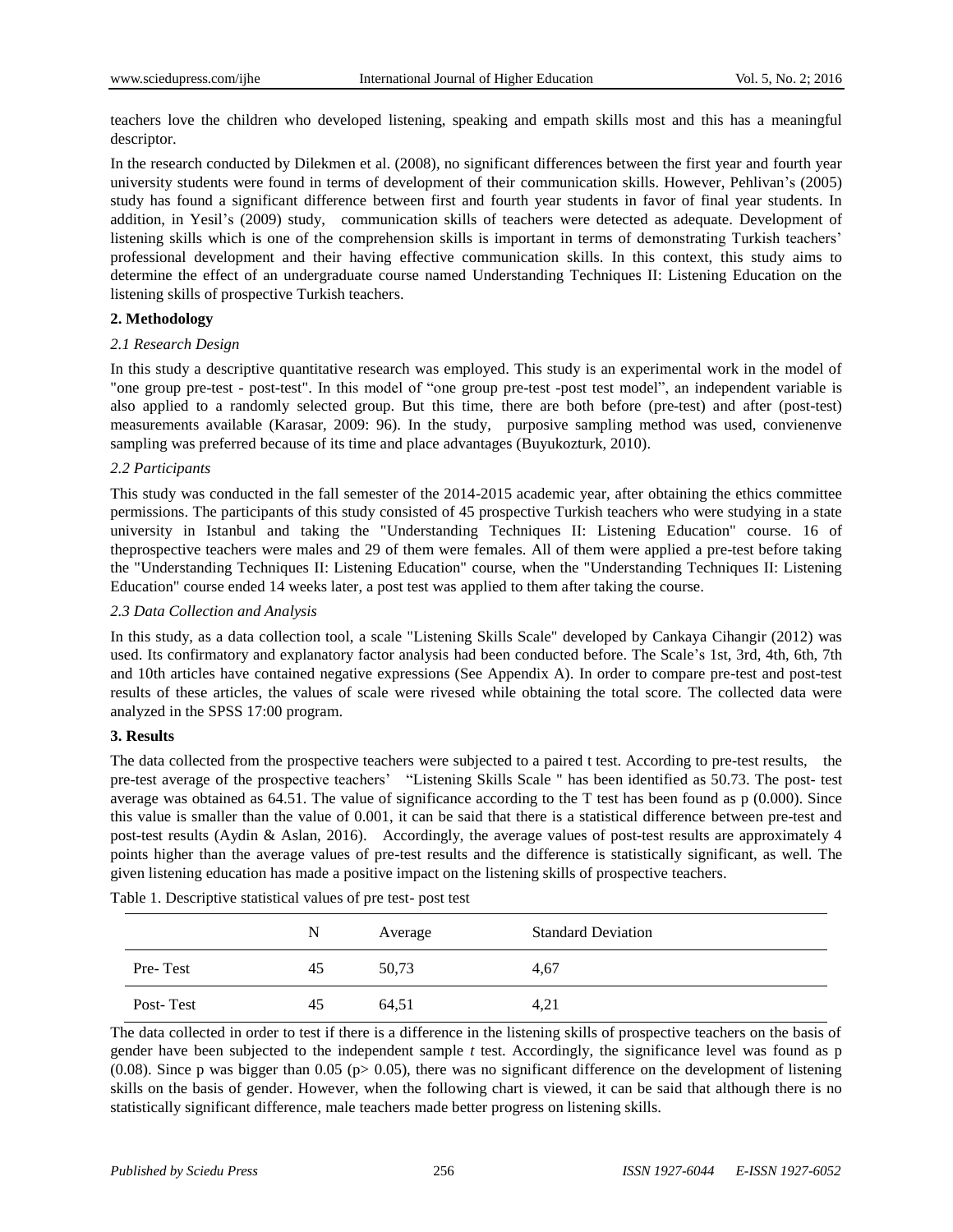teachers love the children who developed listening, speaking and empath skills most and this has a meaningful descriptor.

In the research conducted by Dilekmen et al. (2008), no significant differences between the first year and fourth year university students were found in terms of development of their communication skills. However, Pehlivan's (2005) study has found a significant difference between first and fourth year students in favor of final year students. In addition, in Yesil's (2009) study, communication skills of teachers were detected as adequate. Development of listening skills which is one of the comprehension skills is important in terms of demonstrating Turkish teachers' professional development and their having effective communication skills. In this context, this study aims to determine the effect of an undergraduate course named Understanding Techniques II: Listening Education on the listening skills of prospective Turkish teachers.

#### **2. Methodology**

#### *2.1 Research Design*

In this study a descriptive quantitative research was employed. This study is an experimental work in the model of "one group pre-test - post-test". In this model of "one group pre-test -post test model", an [independent variable](http://tureng.com/search/independent%20variable) is also applied to a randomly selected group. But this time, there are both before (pre-test) and after (post-test) measurements available (Karasar, 2009: 96). In the study, purposive sampling method was used, convienenve sampling was preferred because of its time and place advantages (Buyukozturk, 2010).

## *2.2 Participants*

This study was conducted in the fall semester of the 2014-2015 academic year, after obtaining the ethics committee permissions. The participants of this study consisted of 45 prospective Turkish teachers who were studying in a state university in Istanbul and taking the "Understanding Techniques II: Listening Education" course. 16 of theprospective teachers were males and 29 of them were females. All of them were applied a pre-test before taking the "Understanding Techniques II: Listening Education" course, when the "Understanding Techniques II: Listening Education" course ended 14 weeks later, a post test was applied to them after taking the course.

#### *2.3 Data Collection and Analysis*

In this study, as a data collection tool, a scale "Listening Skills Scale" developed by Cankaya Cihangir (2012) was used. Its confirmatory and explanatory factor analysis had been conducted before. The Scale's 1st, 3rd, 4th, 6th, 7th and 10th articles have contained negative expressions (See Appendix A). In order to compare pre-test and post-test results of these articles, the values of scale were rivesed while obtaining the total score. The collected data were analyzed in the SPSS 17:00 program.

#### **3. Results**

The data collected from the prospective teachers were subjected to a paired t test. According to pre-test results, the pre-test average of the prospective teachers' "Listening Skills Scale " has been identified as 50.73. The post- test average was obtained as 64.51. The value of significance according to the T test has been found as p (0.000). Since this value is smaller than the value of 0.001, it can be said that there is a statistical difference between pre-test and post-test results (Aydin & Aslan, 2016). Accordingly, the average values of post-test results are approximately 4 points higher than the average values of pre-test results and the difference is statistically significant, as well. The given listening education has made a positive impact on the listening skills of prospective teachers.

|           | N  | Average | <b>Standard Deviation</b> |
|-----------|----|---------|---------------------------|
| Pre-Test  | 45 | 50,73   | 4,67                      |
| Post-Test | 45 | 64,51   | 4,21                      |

Table 1. Descriptive statistical values of pre test- post test

The data collected in order to test if there is a difference in the listening skills of prospective teachers on the basis of gender have been subjected to the independent sample *t* test. Accordingly, the significance level was found as p (0.08). Since p was bigger than 0.05 (p> 0.05), there was no significant difference on the development of listening skills on the basis of gender. However, when the following chart is viewed, it can be said that although there is no statistically significant difference, male teachers made better progress on listening skills.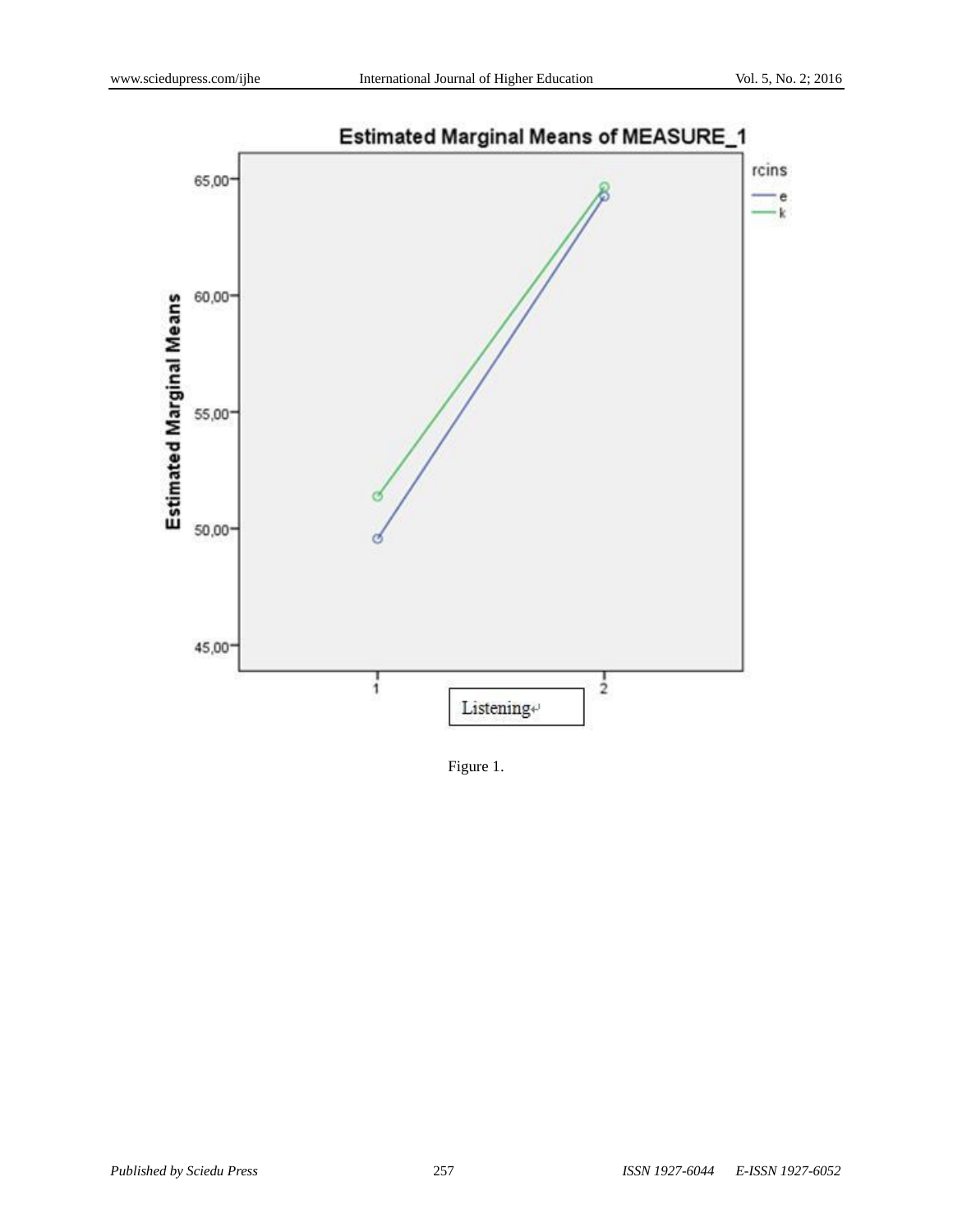

Figure 1.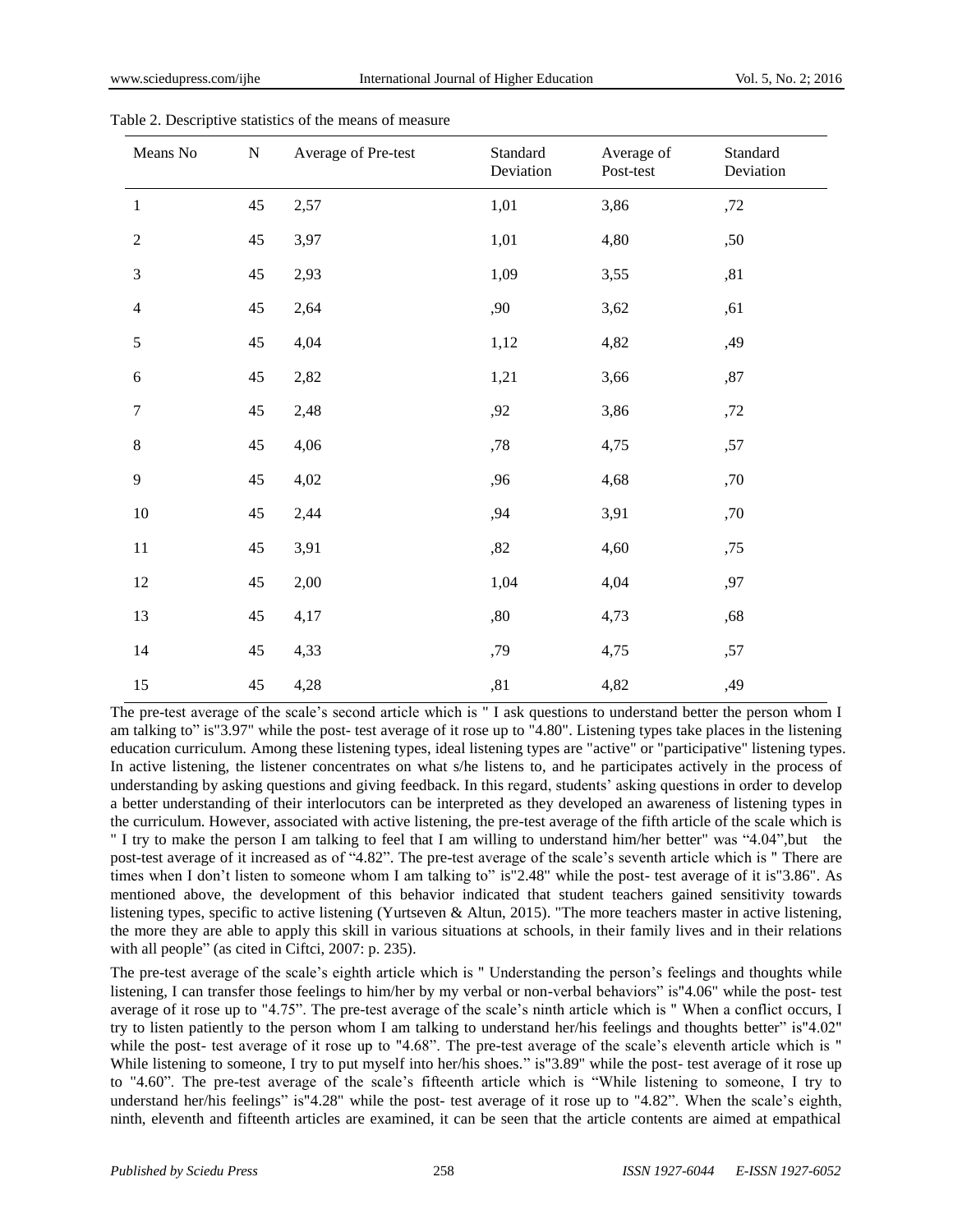| Means No         | ${\bf N}$ | Average of Pre-test | Standard<br>Deviation | Average of<br>Post-test | Standard<br>Deviation |
|------------------|-----------|---------------------|-----------------------|-------------------------|-----------------------|
| $\,1\,$          | 45        | 2,57                | 1,01                  | 3,86                    | ,72                   |
| $\sqrt{2}$       | 45        | 3,97                | 1,01                  | 4,80                    | ,50                   |
| $\mathfrak{Z}$   | $45\,$    | 2,93                | 1,09                  | 3,55                    | ,81                   |
| $\overline{4}$   | $45\,$    | 2,64                | ,90                   | 3,62                    | ,61                   |
| 5                | 45        | 4,04                | 1,12                  | 4,82                    | ,49                   |
| $\sqrt{6}$       | $45\,$    | 2,82                | 1,21                  | 3,66                    | $,87$                 |
| $\boldsymbol{7}$ | 45        | 2,48                | ,92                   | 3,86                    | ,72                   |
| $\,8\,$          | 45        | 4,06                | ${,}78$               | 4,75                    | ,57                   |
| 9                | 45        | 4,02                | ,96                   | 4,68                    | ,70                   |
| $10\,$           | 45        | 2,44                | ,94                   | 3,91                    | ,70                   |
| 11               | 45        | 3,91                | ,82                   | 4,60                    | ,75                   |
| 12               | 45        | 2,00                | 1,04                  | 4,04                    | ,97                   |
| 13               | 45        | 4,17                | $,\!80$               | 4,73                    | ,68                   |
| 14               | 45        | 4,33                | ,79                   | 4,75                    | ,57                   |
| 15               | 45        | 4,28                | ,81                   | 4,82                    | ,49                   |

Table 2. Descriptive statistics of the means of measure

The pre-test average of the scale's second article which is " I ask questions to understand better the person whom I am talking to" is"3.97" while the post- test average of it rose up to "4.80". Listening types take places in the listening education curriculum. Among these listening types, ideal listening types are "active" or "participative" listening types. In active listening, the listener concentrates on what s/he listens to, and he participates actively in the process of understanding by asking questions and giving feedback. In this regard, students' asking questions in order to develop a better understanding of their interlocutors can be interpreted as they developed an awareness of listening types in the curriculum. However, associated with active listening, the pre-test average of the fifth article of the scale which is " I try to make the person I am talking to feel that I am willing to understand him/her better" was "4.04",but the post-test average of it increased as of "4.82". The pre-test average of the scale's seventh article which is " There are times when I don't listen to someone whom I am talking to" is"2.48" while the post- test average of it is"3.86". As mentioned above, the development of this behavior indicated that student teachers gained sensitivity towards listening types, specific to active listening (Yurtseven & Altun, 2015). "The more teachers master in active listening, the more they are able to apply this skill in various situations at schools, in their family lives and in their relations with all people" (as cited in Ciftci, 2007: p. 235).

The pre-test average of the scale's eighth article which is " Understanding the person's feelings and thoughts while listening, I can transfer those feelings to him/her by my verbal or non-verbal behaviors" is"4.06" while the post- test average of it rose up to "4.75". The pre-test average of the scale's ninth article which is " When a conflict occurs, I try to listen patiently to the person whom I am talking to understand her/his feelings and thoughts better" is"4.02" while the post- test average of it rose up to "4.68". The pre-test average of the scale's eleventh article which is " While listening to someone, I try to put myself into her/his shoes." is"3.89" while the post- test average of it rose up to "4.60". The pre-test average of the scale's fifteenth article which is "While listening to someone, I try to understand her/his feelings" is"4.28" while the post- test average of it rose up to "4.82". When the scale's eighth, ninth, eleventh and fifteenth articles are examined, it can be seen that the article contents are aimed at empathical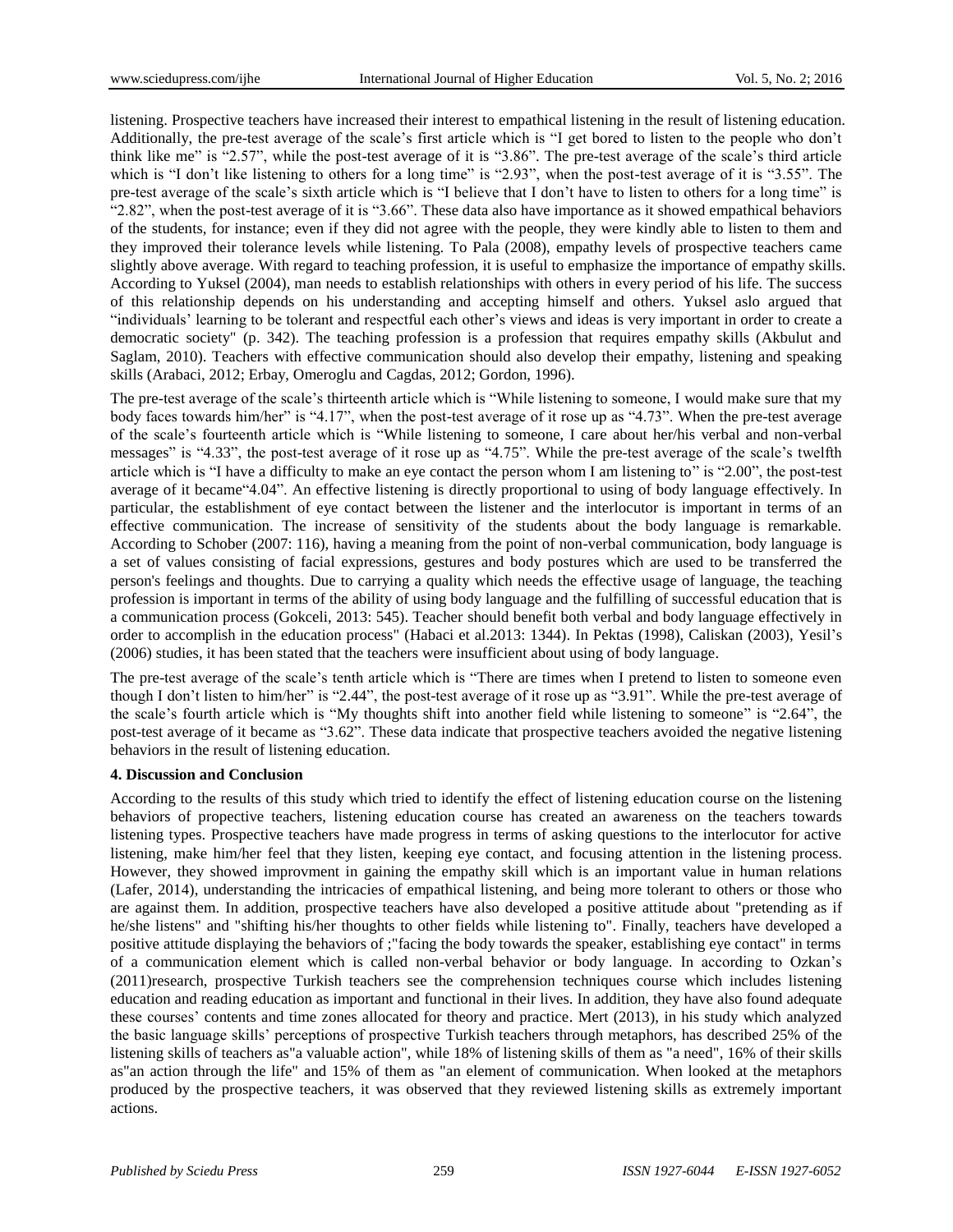listening. Prospective teachers have increased their interest to empathical listening in the result of listening education. Additionally, the pre-test average of the scale's first article which is "I get bored to listen to the people who don't think like me" is "2.57", while the post-test average of it is "3.86". The pre-test average of the scale's third article which is "I don't like listening to others for a long time" is "2.93", when the post-test average of it is "3.55". The pre-test average of the scale's sixth article which is "I believe that I don't have to listen to others for a long time" is "2.82", when the post-test average of it is "3.66". These data also have importance as it showed empathical behaviors of the students, for instance; even if they did not agree with the people, they were kindly able to listen to them and they improved their tolerance levels while listening. To Pala (2008), empathy levels of prospective teachers came slightly above average. With regard to teaching profession, it is useful to emphasize the importance of empathy skills. According to Yuksel (2004), man needs to establish relationships with others in every period of his life. The success of this relationship depends on his understanding and accepting himself and others. Yuksel aslo argued that "individuals' learning to be tolerant and respectful each other's views and ideas is very important in order to create a democratic society" (p. 342). The teaching profession is a profession that requires empathy skills (Akbulut and Saglam, 2010). Teachers with effective communication should also develop their empathy, listening and speaking skills (Arabaci, 2012; Erbay, Omeroglu and Cagdas, 2012; Gordon, 1996).

The pre-test average of the scale's thirteenth article which is "While listening to someone, I would make sure that my body faces towards him/her" is "4.17", when the post-test average of it rose up as "4.73". When the pre-test average of the scale's fourteenth article which is "While listening to someone, I care about her/his verbal and non-verbal messages" is "4.33", the post-test average of it rose up as "4.75". While the pre-test average of the scale's twelfth article which is "I have a difficulty to make an eye contact the person whom I am listening to" is "2.00", the post-test average of it became"4.04". An effective listening is directly proportional to using of body language effectively. In particular, the establishment of eye contact between the listener and the interlocutor is important in terms of an effective communication. The increase of sensitivity of the students about the body language is remarkable. According to Schober (2007: 116), having a meaning from the point of non-verbal communication, body language is a set of values consisting of facial expressions, gestures and body postures which are used to be transferred the person's feelings and thoughts. Due to carrying a quality which needs the effective usage of language, the teaching profession is important in terms of the ability of using body language and the fulfilling of successful education that is a communication process (Gokceli, 2013: 545). Teacher should benefit both verbal and body language effectively in order to accomplish in the education process" (Habaci et al.2013: 1344). In Pektas (1998), Caliskan (2003), Yesil's (2006) studies, it has been stated that the teachers were insufficient about using of body language.

The pre-test average of the scale's tenth article which is "There are times when I pretend to listen to someone even though I don't listen to him/her" is "2.44", the post-test average of it rose up as "3.91". While the pre-test average of the scale's fourth article which is "My thoughts shift into another field while listening to someone" is "2.64", the post-test average of it became as "3.62". These data indicate that prospective teachers avoided the negative listening behaviors in the result of listening education.

#### **4. Discussion and Conclusion**

According to the results of this study which tried to identify the effect of listening education course on the listening behaviors of propective teachers, listening education course has created an awareness on the teachers towards listening types. Prospective teachers have made progress in terms of asking questions to the interlocutor for active listening, make him/her feel that they listen, keeping eye contact, and focusing attention in the listening process. However, they showed improvment in gaining the empathy skill which is an important value in human relations (Lafer, 2014), understanding the intricacies of empathical listening, and being more tolerant to others or those who are against them. In addition, prospective teachers have also developed a positive attitude about "pretending as if he/she listens" and "shifting his/her thoughts to other fields while listening to". Finally, teachers have developed a positive attitude displaying the behaviors of ;"facing the body towards the speaker, establishing eye contact" in terms of a communication element which is called non-verbal behavior or body language. In according to Ozkan's (2011)research, prospective Turkish teachers see the comprehension techniques course which includes listening education and reading education as important and functional in their lives. In addition, they have also found adequate these courses' contents and time zones allocated for theory and practice. Mert (2013), in his study which analyzed the basic language skills' perceptions of prospective Turkish teachers through metaphors, has described 25% of the listening skills of teachers as"a valuable action", while 18% of listening skills of them as "a need", 16% of their skills as"an action through the life" and 15% of them as "an element of communication. When looked at the metaphors produced by the prospective teachers, it was observed that they reviewed listening skills as extremely important actions.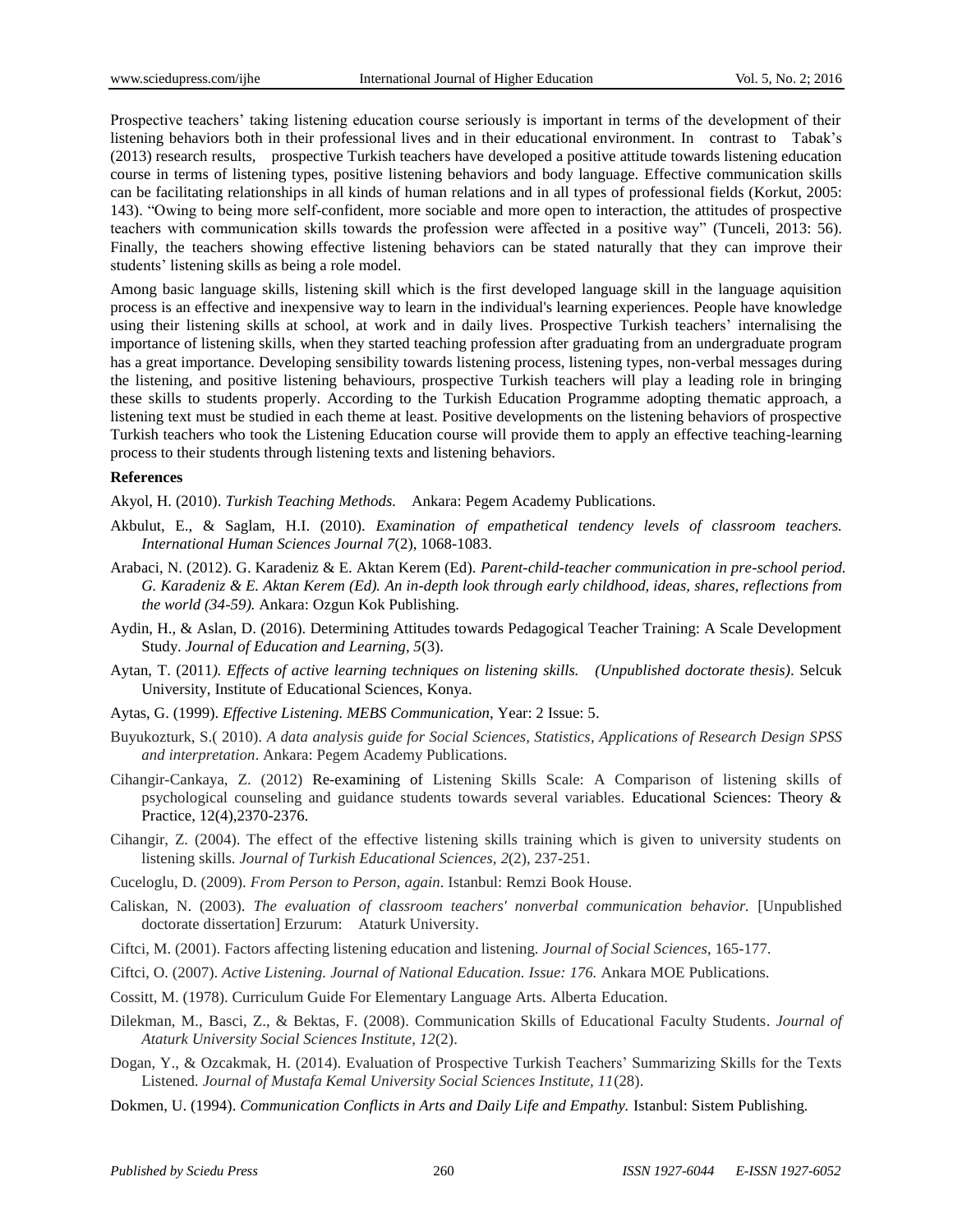Prospective teachers' taking listening education course seriously is important in terms of the development of their listening behaviors both in their professional lives and in their educational environment. In contrast to Tabak's (2013) research results, prospective Turkish teachers have developed a positive attitude towards listening education course in terms of listening types, positive listening behaviors and body language. Effective communication skills can be facilitating relationships in all kinds of human relations and in all types of professional fields (Korkut, 2005: 143). "Owing to being more self-confident, more sociable and more open to interaction, the attitudes of prospective teachers with communication skills towards the profession were affected in a positive way" (Tunceli, 2013: 56). Finally, the teachers showing effective listening behaviors can be stated naturally that they can improve their students' listening skills as being a role model.

Among basic language skills, listening skill which is the first developed language skill in the language aquisition process is an effective and inexpensive way to learn in the individual's learning experiences. People have knowledge using their listening skills at school, at work and in daily lives. Prospective Turkish teachers' internalising the importance of listening skills, when they started teaching profession after graduating from an undergraduate program has a great importance. Developing sensibility towards listening process, listening types, non-verbal messages during the listening, and positive listening behaviours, prospective Turkish teachers will play a leading role in bringing these skills to students properly. According to the Turkish Education Programme adopting thematic approach, a listening text must be studied in each theme at least. Positive developments on the listening behaviors of prospective Turkish teachers who took the Listening Education course will provide them to apply an effective teaching-learning process to their students through listening texts and listening behaviors.

#### **References**

Akyol, H. (2010). *Turkish Teaching Methods.* Ankara: Pegem Academy Publications.

- Akbulut, E., & Saglam, H.I. (2010). *Examination of empathetical tendency levels of classroom teachers. International Human Sciences Journal 7*(2), 1068-1083.
- Arabaci, N. (2012). G. Karadeniz & E. Aktan Kerem (Ed). *Parent-child-teacher communication in pre-school period. G. Karadeniz & E. Aktan Kerem (Ed). An in-depth look through early childhood, ideas, shares, reflections from the world (34-59).* Ankara: Ozgun Kok Publishing.
- Aydin, H., & Aslan, D. (2016). Determining Attitudes towards Pedagogical Teacher Training: A Scale Development Study. *Journal of Education and Learning, 5*(3).
- Aytan, T. (2011*). Effects of active learning techniques on listening skills. (Unpublished doctorate thesis)*. Selcuk University, Institute of Educational Sciences, Konya.
- Aytas, G. (1999). *Effective Listening. MEBS Communication*, Year: 2 Issue: 5.
- Buyukozturk, S.( 2010). *A data analysis guide for Social Sciences, Statistics, Applications of Research Design SPSS and interpretation*. Ankara: Pegem Academy Publications.
- Cihangir-Cankaya, Z. (2012) Re-examining of Listening Skills Scale: A Comparison of listening skills of psychological counseling and guidance students towards several variables. Educational Sciences: Theory & Practice, 12(4),2370-2376.
- Cihangir, Z. (2004). The effect of the effective listening skills training which is given to university students on listening skills. *Journal of Turkish Educational Sciences, 2*(2), 237-251.
- Cuceloglu, D. (2009). *From Person to Person, again*. Istanbul: Remzi Book House.
- Caliskan, N. (2003). *The evaluation of classroom teachers' nonverbal communication behavior.* [Unpublished doctorate dissertation] Erzurum: Ataturk University.
- Ciftci, M. (2001). Factors affecting listening education and listening. *Journal of Social Sciences*, 165-177.
- Ciftci, O. (2007). *Active Listening. Journal of National Education. Issue: 176.* Ankara MOE Publications.
- Cossitt, M. (1978). Curriculum Guide For Elementary Language Arts. Alberta Education.
- Dilekman, M., Basci, Z., & Bektas, F. (2008). Communication Skills of Educational Faculty Students. *Journal of Ataturk University Social Sciences Institute, 12*(2).
- Dogan, Y., & Ozcakmak, H. (2014). Evaluation of Prospective Turkish Teachers' Summarizing Skills for the Texts Listened*. Journal of Mustafa Kemal University Social Sciences Institute, 11*(28).
- Dokmen, U. (1994). *Communication Conflicts in Arts and Daily Life and Empathy.* Istanbul: Sistem Publishing*.*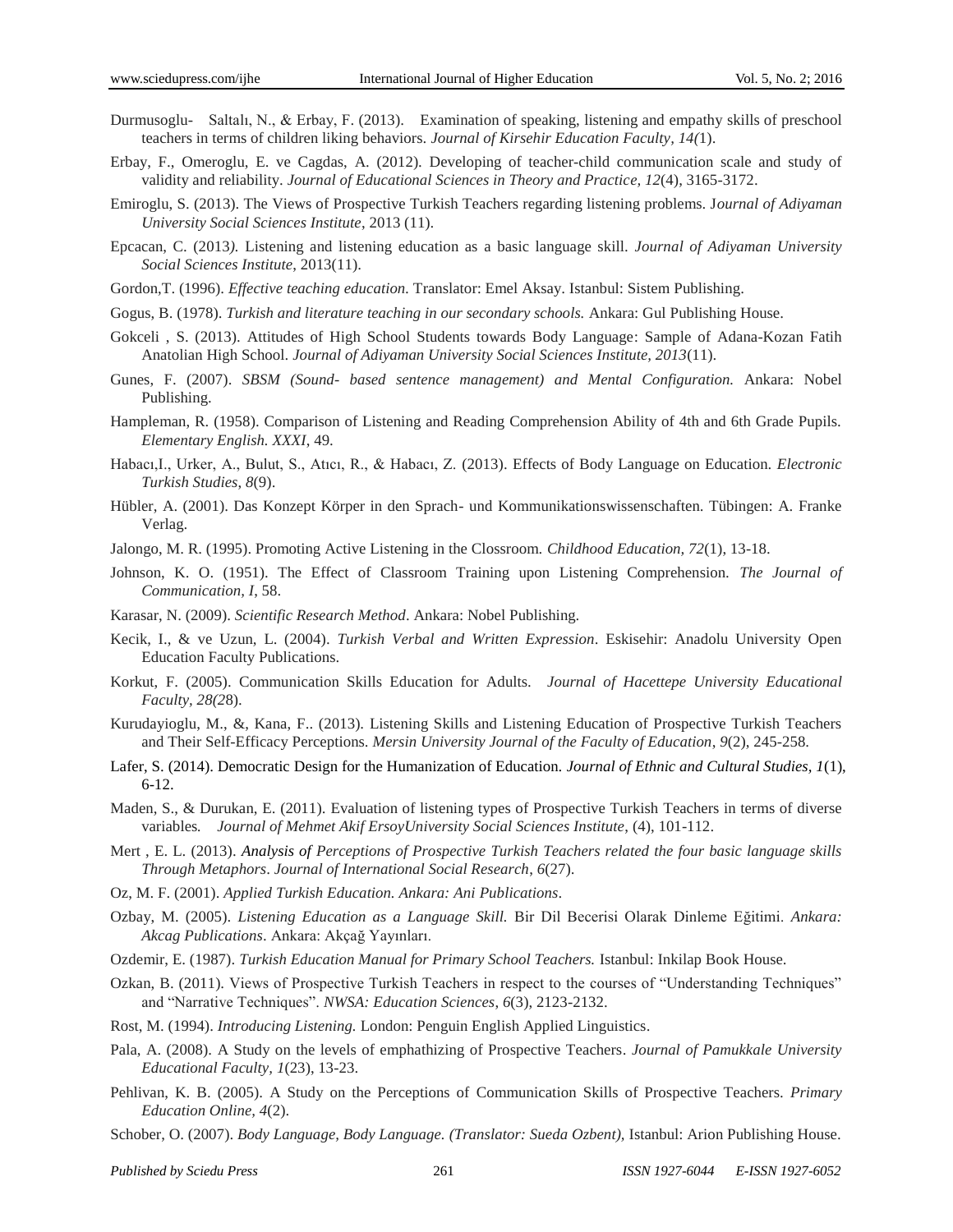- Durmusoglu- Saltalı, N., & Erbay, F. (2013). Examination of speaking, listening and empathy skills of preschool teachers in terms of children liking behaviors. *Journal of Kirsehir Education Faculty, 14(*1).
- Erbay, F., Omeroglu, E. ve Cagdas, A. (2012). Developing of teacher-child communication scale and study of validity and reliability. *Journal of Educational Sciences in Theory and Practice, 12*(4), 3165-3172.
- Emiroglu, S. (2013). The Views of Prospective Turkish Teachers regarding listening problems. J*ournal of Adiyaman University Social Sciences Institute*, 2013 (11).
- Epcacan, C. (2013*).* Listening and listening education as a basic language skill. *Journal of Adiyaman University Social Sciences Institute*, 2013(11).
- Gordon,T. (1996). *Effective teaching education.* Translator: Emel Aksay. Istanbul: Sistem Publishing.
- Gogus, B. (1978). *Turkish and literature teaching in our secondary schools.* Ankara: Gul Publishing House.
- Gokceli , S. (2013). Attitudes of High School Students towards Body Language: Sample of Adana-Kozan Fatih Anatolian High School. *Journal of Adiyaman University Social Sciences Institute, 2013*(11).
- Gunes, F. (2007). *SBSM (Sound- based sentence management) and Mental Configuration.* Ankara: Nobel Publishing.
- Hampleman, R. (1958). Comparison of Listening and Reading Comprehension Ability of 4th and 6th Grade Pupils. *Elementary English. XXXI*, 49.
- Habacı,I., Urker, A., Bulut, S., Atıcı, R., & Habacı, Z. (2013). Effects of Body Language on Education. *Electronic Turkish Studies*, *8*(9).
- Hübler, A. (2001). Das Konzept Körper in den Sprach- und Kommunikationswissenschaften. Tübingen: A. Franke Verlag.
- Jalongo, M. R. (1995). Promoting Active Listening in the Clossroom. *Childhood Education, 72*(1), 13-18.
- Johnson, K. O. (1951). The Effect of Classroom Training upon Listening Comprehension. *The Journal of Communication, I*, 58.
- Karasar, N. (2009). *Scientific Research Method*. Ankara: Nobel Publishing.
- Kecik, I., & ve Uzun, L. (2004). *Turkish Verbal and Written Expression*. Eskisehir: Anadolu University Open Education Faculty Publications.
- Korkut, F. (2005). Communication Skills Education for Adults. *Journal of Hacettepe University Educational Faculty, 28(2*8).
- Kurudayioglu, M., &, Kana, F.. (2013). Listening Skills and Listening Education of Prospective Turkish Teachers and Their Self-Efficacy Perceptions. *Mersin University Journal of the Faculty of Education*, *9*(2), 245-258.
- Lafer, S. (2014). Democratic Design for the Humanization of Education. *Journal of Ethnic and Cultural Studies, 1*(1), 6-12.
- Maden, S., & Durukan, E. (2011). Evaluation of listening types of Prospective Turkish Teachers in terms of diverse variables*. Journal of Mehmet Akif ErsoyUniversity Social Sciences Institute*, (4), 101-112.
- Mert , E. L. (2013). *Analysis of Perceptions of Prospective Turkish Teachers related the four basic language skills Through Metaphors*. *Journal of International Social Research*, *6*(27).
- Oz, M. F. (2001). *Applied Turkish Education. Ankara: Ani Publications*.
- Ozbay, M. (2005). *Listening Education as a Language Skill.* Bir Dil Becerisi Olarak Dinleme Eğitimi. *Ankara: Akcag Publications*. Ankara: Akçağ Yayınları.
- Ozdemir, E. (1987). *Turkish Education Manual for Primary School Teachers.* Istanbul: Inkilap Book House.
- Ozkan, B. (2011). Views of Prospective Turkish Teachers in respect to the courses of "Understanding Techniques" and "Narrative Techniques". *NWSA: Education Sciences*, *6*(3), 2123-2132.
- Rost, M. (1994). *Introducing Listening.* London: Penguin English Applied Linguistics.
- Pala, A. (2008). A Study on the levels of emphathizing of Prospective Teachers. *Journal of Pamukkale University Educational Faculty, 1*(23), 13-23.
- Pehlivan, K. B. (2005). A Study on the Perceptions of Communication Skills of Prospective Teachers. *Primary Education Online, 4*(2).
- Schober, O. (2007). *Body Language, Body Language. (Translator: Sueda Ozbent),* Istanbul: Arion Publishing House.